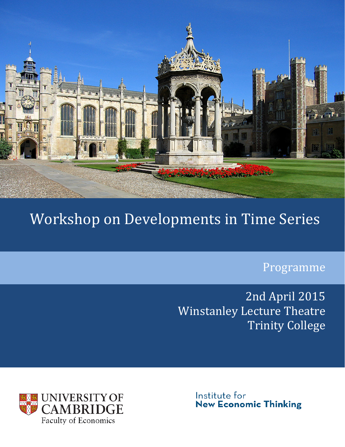

## Workshop on Developments in Time Series

Programme

2nd April 2015 Winstanley Lecture Theatre Trinity College



Institute for **New Economic Thinking**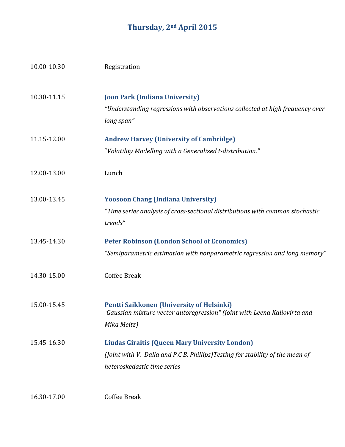## **Thursday, 2nd April 2015**

| 10.00-10.30 | Registration                                                                                                                                                          |
|-------------|-----------------------------------------------------------------------------------------------------------------------------------------------------------------------|
| 10.30-11.15 | <b>Joon Park (Indiana University)</b><br>"Understanding regressions with observations collected at high frequency over<br>long span"                                  |
| 11.15-12.00 | <b>Andrew Harvey (University of Cambridge)</b><br>"Volatility Modelling with a Generalized t-distribution."                                                           |
| 12.00-13.00 | Lunch                                                                                                                                                                 |
| 13.00-13.45 | <b>Yoosoon Chang (Indiana University)</b><br>"Time series analysis of cross-sectional distributions with common stochastic<br>trends"                                 |
| 13.45-14.30 | <b>Peter Robinson (London School of Economics)</b><br>"Semiparametric estimation with nonparametric regression and long memory"                                       |
| 14.30-15.00 | <b>Coffee Break</b>                                                                                                                                                   |
| 15.00-15.45 | Pentti Saikkonen (University of Helsinki)<br>"Gaussian mixture vector autoregression" (joint with Leena Kaliovirta and<br>Mika Meitz)                                 |
| 15.45-16.30 | <b>Liudas Giraitis (Queen Mary University London)</b><br>(Joint with V. Dalla and P.C.B. Phillips)Testing for stability of the mean of<br>heteroskedastic time series |
| 16.30-17.00 | Coffee Break                                                                                                                                                          |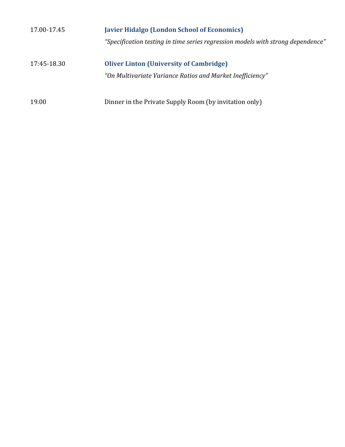| 17.00-17.45 | <b>Javier Hidalgo (London School of Economics)</b>                              |
|-------------|---------------------------------------------------------------------------------|
|             | "Specification testing in time series regression models with strong dependence" |
| 17:45-18.30 | <b>Oliver Linton (University of Cambridge)</b>                                  |
|             | "On Multivariate Variance Ratios and Market Inefficiency"                       |
| 19.00       | Dinner in the Private Supply Room (by invitation only)                          |